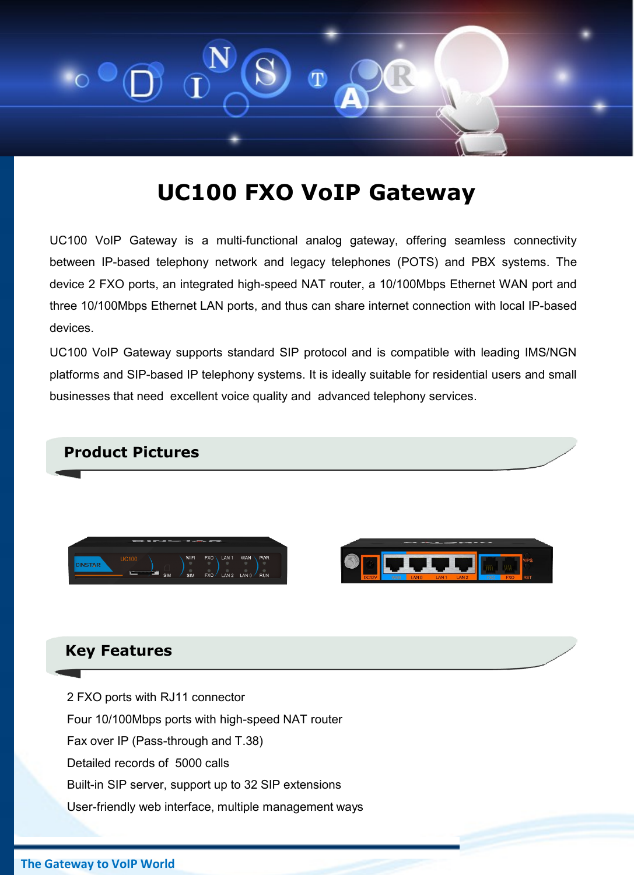

# **UC100 FXO VoIP Gateway**

UC100 VoIP Gateway is a multi-functional analog gateway, offering seamless connectivity between IP-based telephony network and legacy telephones (POTS) and PBX systems. The device 2 FXO ports, an integrated high-speed NAT router, a 10/100Mbps Ethernet WAN port and three 10/100Mbps Ethernet LAN ports, and thus can share internet connection with local IP-based devices.

UC100 VoIP Gateway supports standard SIP protocol and is compatible with leading IMS/NGN platforms and SIP-based IP telephony systems. It is ideally suitable for residential users and small businesses that need excellent voice quality and advanced telephony services.



#### **Key Features**

2 FXO ports with RJ11 connector Four 10/100Mbps ports with high-speed NAT router Fax over IP (Pass-through and T.38) Detailed records of 5000 calls Built-in SIP server, support up to 32 SIP extensions User-friendly web interface, multiple management ways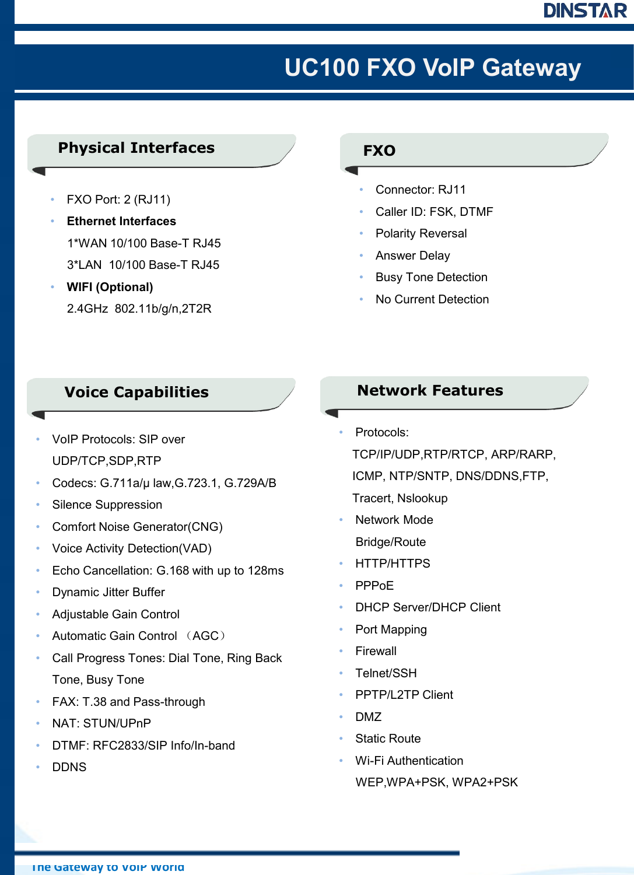# DINSTAR

# **UC100 FXO VoIP Gateway**

## **Physical Interfaces**

- FXO Port: 2 (RJ11)
- **Ethernet Interfaces** 1\*WAN 10/100 Base-T RJ45 3\*LAN 10/100 Base-T RJ45
- **WIFI (Optional)**  2.4GHz 802.11b/g/n,2T2R

### **FXO**

- Connector: RJ11
- Caller ID: FSK, DTMF
- Polarity Reversal
- Answer Delay
- Busy Tone Detection
- No Current Detection

### **Voice Capabilities**

- VoIP Protocols: SIP over UDP/TCP,SDP,RTP
- Codecs: G.711a/μ law,G.723.1, G.729A/B
- Silence Suppression
- Comfort Noise Generator(CNG)
- Voice Activity Detection(VAD)
- Echo Cancellation: G.168 with up to 128ms
- Dynamic Jitter Buffer
- Adjustable Gain Control
- Automatic Gain Control (AGC)
- Call Progress Tones: Dial Tone, Ring Back Tone, Busy Tone
- FAX: T.38 and Pass-through
- NAT: STUN/UPnP
- DTMF: RFC2833/SIP Info/In-band
- DDNS

### **Network Features**

- Protocols:
	- TCP/IP/UDP,RTP/RTCP, ARP/RARP,
	- ICMP, NTP/SNTP, DNS/DDNS,FTP,
	- Tracert, Nslookup
- **Network Mode** Bridge/Route
- HTTP/HTTPS
- PPPoE
- DHCP Server/DHCP Client
- Port Mapping
- **Firewall**
- Telnet/SSH
- PPTP/L2TP Client
- DMZ
- **Static Route**
- Wi-Fi Authentication WEP,WPA+PSK, WPA2+PSK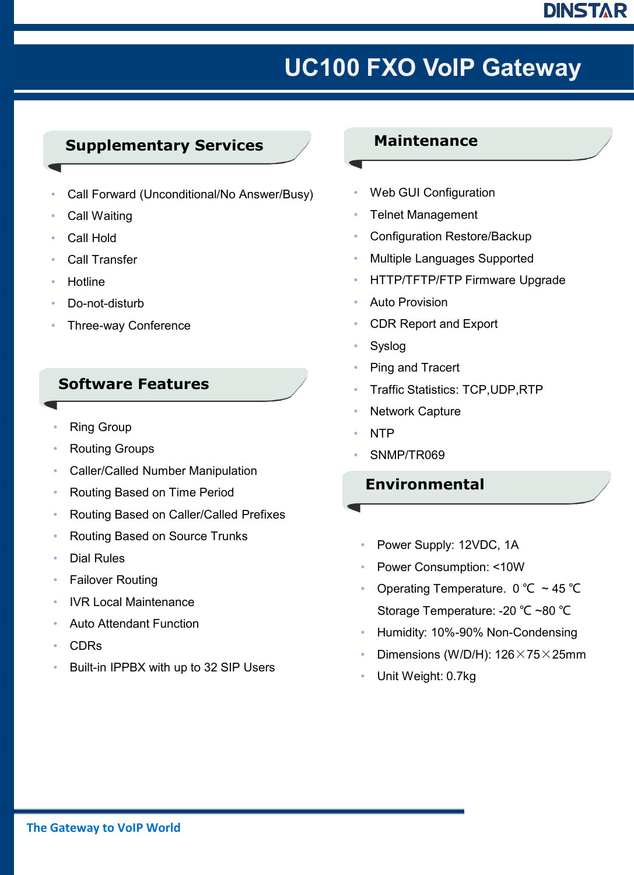# DINSTAR

# 客户至上 贴心服务 **UC100 FXO VoIP Gateway**

### **Supplementary Services**

- Call Forward (Unconditional/No Answer/Busy)
- Call Waiting
- Call Hold
- Call Transfer
- **Hotline**
- Do-not-disturb
- Three-way Conference

### **Software Features**

- **Ring Group**
- Routing Groups
- Caller/Called Number Manipulation
- Routing Based on Time Period
- Routing Based on Caller/Called Prefixes
- Routing Based on Source Trunks
- Dial Rules
- **Failover Routing**
- IVR Local Maintenance
- Auto Attendant Function
- CDRs
- Built-in IPPBX with up to 32 SIP Users

#### **Maintenance**

- Web GUI Configuration
- Telnet Management
- Configuration Restore/Backup
- Multiple Languages Supported
- HTTP/TFTP/FTP Firmware Upgrade
- Auto Provision
- CDR Report and Export
- **Syslog**
- Ping and Tracert
- Traffic Statistics: TCP,UDP,RTP
- **Network Capture**
- NTP
- SNMP/TR069

### **Environmental**

- Power Supply: 12VDC, 1A
- Power Consumption: <10W
- Operating Temperature. 0 ℃ ~ 45 ℃ Storage Temperature: -20 ℃ ~80 ℃
- Humidity: 10%-90% Non-Condensing
- Dimensions (W/D/H):  $126 \times 75 \times 25$ mm
- Unit Weight: 0.7kg